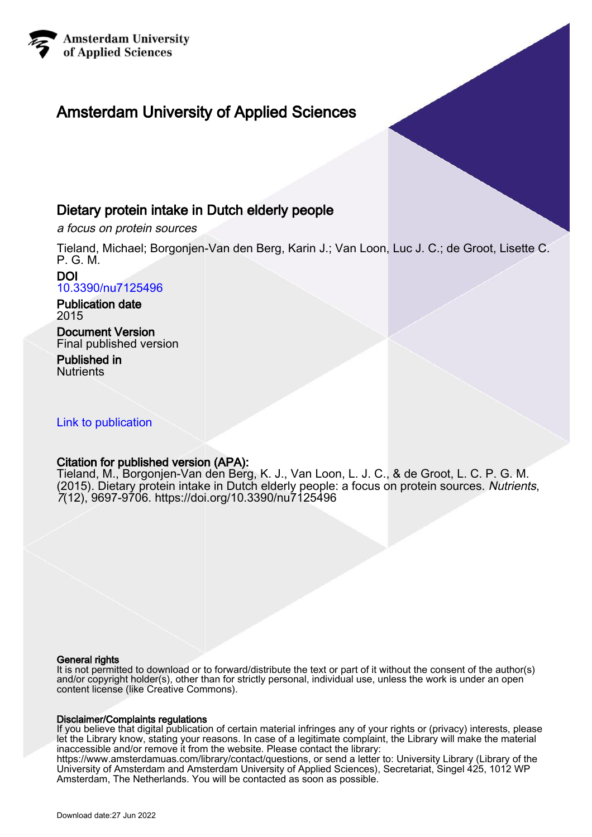

# Amsterdam University of Applied Sciences

## Dietary protein intake in Dutch elderly people

a focus on protein sources

Tieland, Michael; Borgonjen-Van den Berg, Karin J.; Van Loon, Luc J. C.; de Groot, Lisette C. P. G. M.

#### DOI [10.3390/nu7125496](https://doi.org/10.3390/nu7125496)

Publication date 2015

Document Version Final published version

Published in **Nutrients** 

### [Link to publication](https://research.hva.nl/en/publications/4f9e17f5-cc72-47c5-984a-af3f3a2bb6d8)

### Citation for published version (APA):

Tieland, M., Borgonjen-Van den Berg, K. J., Van Loon, L. J. C., & de Groot, L. C. P. G. M. (2015). Dietary protein intake in Dutch elderly people: a focus on protein sources. Nutrients, 7(12), 9697-9706. <https://doi.org/10.3390/nu7125496>

#### General rights

It is not permitted to download or to forward/distribute the text or part of it without the consent of the author(s) and/or copyright holder(s), other than for strictly personal, individual use, unless the work is under an open content license (like Creative Commons).

#### Disclaimer/Complaints regulations

If you believe that digital publication of certain material infringes any of your rights or (privacy) interests, please let the Library know, stating your reasons. In case of a legitimate complaint, the Library will make the material inaccessible and/or remove it from the website. Please contact the library:

https://www.amsterdamuas.com/library/contact/questions, or send a letter to: University Library (Library of the University of Amsterdam and Amsterdam University of Applied Sciences), Secretariat, Singel 425, 1012 WP Amsterdam, The Netherlands. You will be contacted as soon as possible.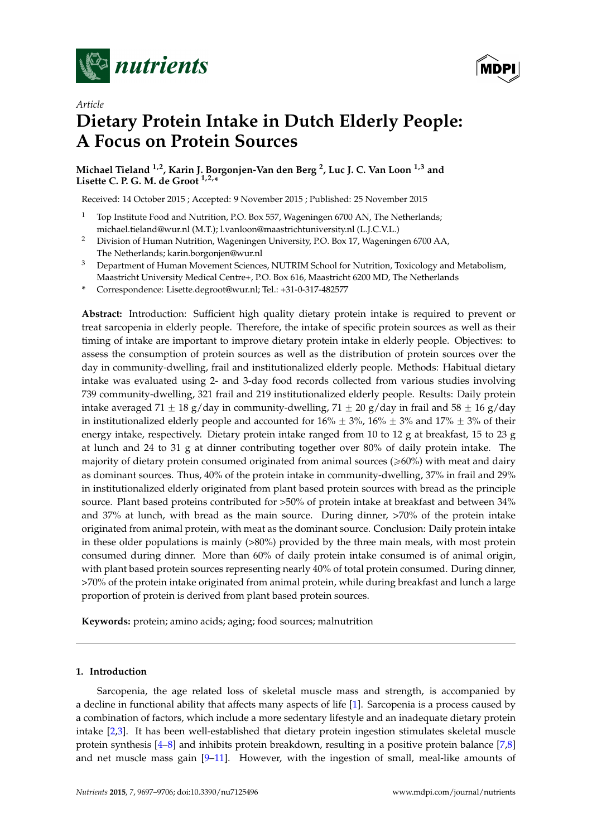



## *Article* **Dietary Protein Intake in Dutch Elderly People: A Focus on Protein Sources**

**Michael Tieland 1,2, Karin J. Borgonjen-Van den Berg <sup>2</sup> , Luc J. C. Van Loon 1,3 and Lisette C. P. G. M. de Groot 1,2,\***

Received: 14 October 2015 ; Accepted: 9 November 2015 ; Published: 25 November 2015

- <sup>1</sup> Top Institute Food and Nutrition, P.O. Box 557, Wageningen 6700 AN, The Netherlands; michael.tieland@wur.nl (M.T.); l.vanloon@maastrichtuniversity.nl (L.J.C.V.L.)
- <sup>2</sup> Division of Human Nutrition, Wageningen University, P.O. Box 17, Wageningen 6700 AA, The Netherlands; karin.borgonjen@wur.nl
- <sup>3</sup> Department of Human Movement Sciences, NUTRIM School for Nutrition, Toxicology and Metabolism, Maastricht University Medical Centre+, P.O. Box 616, Maastricht 6200 MD, The Netherlands
- **\*** Correspondence: Lisette.degroot@wur.nl; Tel.: +31-0-317-482577

**Abstract:** Introduction: Sufficient high quality dietary protein intake is required to prevent or treat sarcopenia in elderly people. Therefore, the intake of specific protein sources as well as their timing of intake are important to improve dietary protein intake in elderly people. Objectives: to assess the consumption of protein sources as well as the distribution of protein sources over the day in community-dwelling, frail and institutionalized elderly people. Methods: Habitual dietary intake was evaluated using 2- and 3-day food records collected from various studies involving 739 community-dwelling, 321 frail and 219 institutionalized elderly people. Results: Daily protein intake averaged 71  $\pm$  18 g/day in community-dwelling, 71  $\pm$  20 g/day in frail and 58  $\pm$  16 g/day in institutionalized elderly people and accounted for  $16\% \pm 3\%$ ,  $16\% \pm 3\%$  and  $17\% \pm 3\%$  of their energy intake, respectively. Dietary protein intake ranged from 10 to 12 g at breakfast, 15 to 23 g at lunch and 24 to 31 g at dinner contributing together over 80% of daily protein intake. The majority of dietary protein consumed originated from animal sources ( $\geq 60\%$ ) with meat and dairy as dominant sources. Thus, 40% of the protein intake in community-dwelling, 37% in frail and 29% in institutionalized elderly originated from plant based protein sources with bread as the principle source. Plant based proteins contributed for >50% of protein intake at breakfast and between 34% and 37% at lunch, with bread as the main source. During dinner, >70% of the protein intake originated from animal protein, with meat as the dominant source. Conclusion: Daily protein intake in these older populations is mainly (>80%) provided by the three main meals, with most protein consumed during dinner. More than 60% of daily protein intake consumed is of animal origin, with plant based protein sources representing nearly 40% of total protein consumed. During dinner, >70% of the protein intake originated from animal protein, while during breakfast and lunch a large proportion of protein is derived from plant based protein sources.

**Keywords:** protein; amino acids; aging; food sources; malnutrition

#### **1. Introduction**

Sarcopenia, the age related loss of skeletal muscle mass and strength, is accompanied by a decline in functional ability that affects many aspects of life [\[1\]](#page-8-0). Sarcopenia is a process caused by a combination of factors, which include a more sedentary lifestyle and an inadequate dietary protein intake [\[2](#page-8-1)[,3\]](#page-8-2). It has been well-established that dietary protein ingestion stimulates skeletal muscle protein synthesis [\[4–](#page-8-3)[8\]](#page-9-0) and inhibits protein breakdown, resulting in a positive protein balance [\[7](#page-9-1)[,8\]](#page-9-0) and net muscle mass gain [\[9–](#page-9-2)[11\]](#page-9-3). However, with the ingestion of small, meal-like amounts of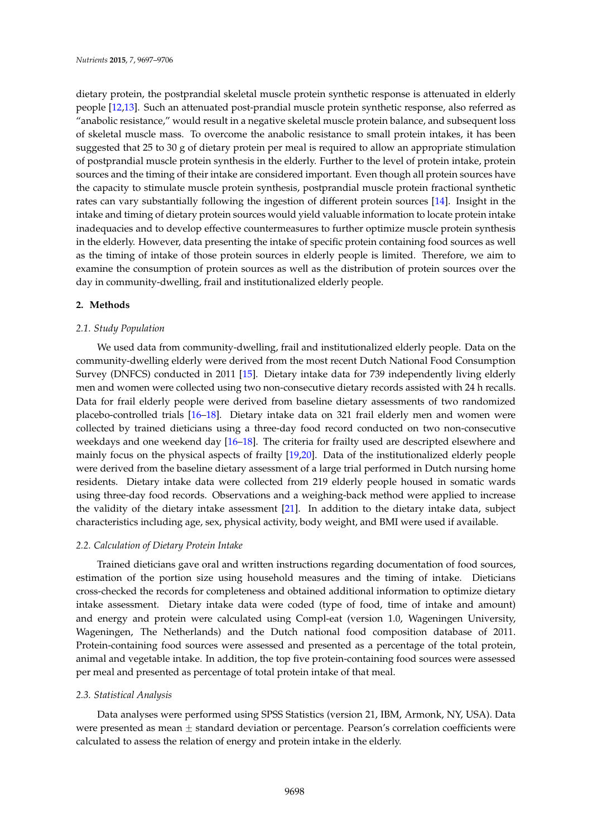dietary protein, the postprandial skeletal muscle protein synthetic response is attenuated in elderly people [\[12](#page-9-4)[,13\]](#page-9-5). Such an attenuated post-prandial muscle protein synthetic response, also referred as "anabolic resistance," would result in a negative skeletal muscle protein balance, and subsequent loss of skeletal muscle mass. To overcome the anabolic resistance to small protein intakes, it has been suggested that 25 to 30 g of dietary protein per meal is required to allow an appropriate stimulation of postprandial muscle protein synthesis in the elderly. Further to the level of protein intake, protein sources and the timing of their intake are considered important. Even though all protein sources have the capacity to stimulate muscle protein synthesis, postprandial muscle protein fractional synthetic rates can vary substantially following the ingestion of different protein sources [\[14\]](#page-9-6). Insight in the intake and timing of dietary protein sources would yield valuable information to locate protein intake inadequacies and to develop effective countermeasures to further optimize muscle protein synthesis in the elderly. However, data presenting the intake of specific protein containing food sources as well as the timing of intake of those protein sources in elderly people is limited. Therefore, we aim to examine the consumption of protein sources as well as the distribution of protein sources over the day in community-dwelling, frail and institutionalized elderly people.

#### **2. Methods**

#### *2.1. Study Population*

We used data from community-dwelling, frail and institutionalized elderly people. Data on the community-dwelling elderly were derived from the most recent Dutch National Food Consumption Survey (DNFCS) conducted in 2011 [\[15\]](#page-9-7). Dietary intake data for 739 independently living elderly men and women were collected using two non-consecutive dietary records assisted with 24 h recalls. Data for frail elderly people were derived from baseline dietary assessments of two randomized placebo-controlled trials [\[16](#page-9-8)[–18\]](#page-9-9). Dietary intake data on 321 frail elderly men and women were collected by trained dieticians using a three-day food record conducted on two non-consecutive weekdays and one weekend day [\[16](#page-9-8)[–18\]](#page-9-9). The criteria for frailty used are descripted elsewhere and mainly focus on the physical aspects of frailty [\[19](#page-9-10)[,20\]](#page-9-11). Data of the institutionalized elderly people were derived from the baseline dietary assessment of a large trial performed in Dutch nursing home residents. Dietary intake data were collected from 219 elderly people housed in somatic wards using three-day food records. Observations and a weighing-back method were applied to increase the validity of the dietary intake assessment [\[21\]](#page-9-12). In addition to the dietary intake data, subject characteristics including age, sex, physical activity, body weight, and BMI were used if available.

#### *2.2. Calculation of Dietary Protein Intake*

Trained dieticians gave oral and written instructions regarding documentation of food sources, estimation of the portion size using household measures and the timing of intake. Dieticians cross-checked the records for completeness and obtained additional information to optimize dietary intake assessment. Dietary intake data were coded (type of food, time of intake and amount) and energy and protein were calculated using Compl-eat (version 1.0, Wageningen University, Wageningen, The Netherlands) and the Dutch national food composition database of 2011. Protein-containing food sources were assessed and presented as a percentage of the total protein, animal and vegetable intake. In addition, the top five protein-containing food sources were assessed per meal and presented as percentage of total protein intake of that meal.

#### *2.3. Statistical Analysis*

Data analyses were performed using SPSS Statistics (version 21, IBM, Armonk, NY, USA). Data were presented as mean  $\pm$  standard deviation or percentage. Pearson's correlation coefficients were calculated to assess the relation of energy and protein intake in the elderly.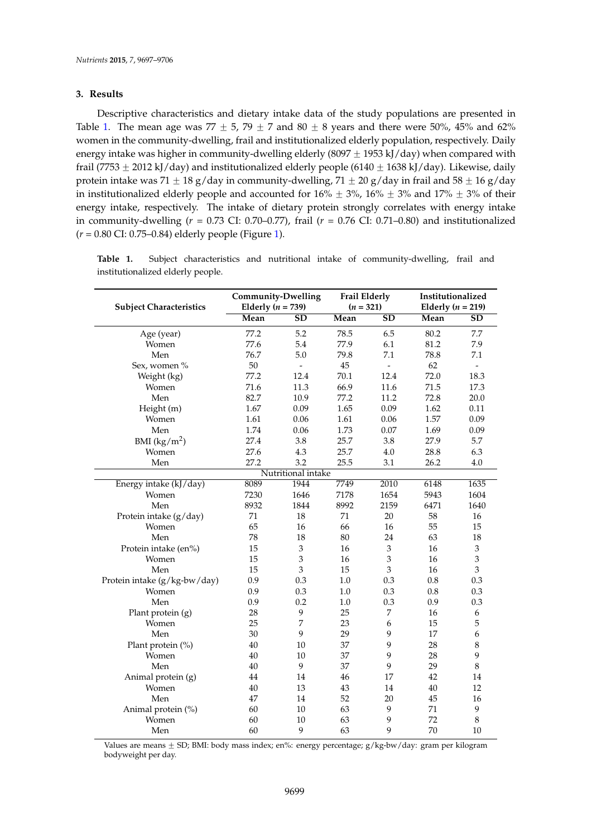#### **3. Results**

Descriptive characteristics and dietary intake data of the study populations are presented in Table [1.](#page-3-0) The mean age was 77  $\pm$  5, 79  $\pm$  7 and 80  $\pm$  8 years and there were 50%, 45% and 62% women in the community-dwelling, frail and institutionalized elderly population, respectively. Daily energy intake was higher in community-dwelling elderly (8097  $\pm$  1953 kJ/day) when compared with frail (7753  $\pm$  2012 kJ/day) and institutionalized elderly people (6140  $\pm$  1638 kJ/day). Likewise, daily protein intake was 71  $\pm$  18 g/day in community-dwelling, 71  $\pm$  20 g/day in frail and 58  $\pm$  16 g/day in institutionalized elderly people and accounted for  $16\% \pm 3\%$ ,  $16\% \pm 3\%$  and  $17\% \pm 3\%$  of their energy intake, respectively. The intake of dietary protein strongly correlates with energy intake in community-dwelling (*r* = 0.73 CI: 0.70–0.77), frail (*r* = 0.76 CI: 0.71–0.80) and institutionalized (*r* = 0.80 CI: 0.75–0.84) elderly people (Figure [1\)](#page-4-0).

|                                | <b>Community-Dwelling</b> |                           | <b>Frail Elderly</b> |                | Institutionalized<br>Elderly ( $n = 219$ ) |                          |  |  |
|--------------------------------|---------------------------|---------------------------|----------------------|----------------|--------------------------------------------|--------------------------|--|--|
| <b>Subject Characteristics</b> | Elderly ( $n = 739$ )     |                           | $(n = 321)$          |                |                                            |                          |  |  |
|                                | Mean                      | SD                        | Mean                 | SD             | Mean                                       | <b>SD</b>                |  |  |
| Age (year)                     | 77.2                      | 5.2                       | 78.5                 | 6.5            | 80.2                                       | 7.7                      |  |  |
| Women                          | 77.6                      | 5.4                       | 77.9                 | 6.1            | 81.2                                       | 7.9                      |  |  |
| Men                            | 76.7                      | 5.0                       | 79.8                 | 7.1            | 78.8                                       | 7.1                      |  |  |
| Sex, women %                   | 50                        | $\overline{\phantom{a}}$  | 45                   | $\overline{a}$ | 62                                         | $\overline{\phantom{a}}$ |  |  |
| Weight (kg)                    | 77.2                      | 12.4                      | 70.1                 | 12.4           | 72.0                                       | 18.3                     |  |  |
| Women                          | 71.6                      | 11.3                      | 66.9                 | 11.6           | 71.5                                       | 17.3                     |  |  |
| Men                            | 82.7                      | 10.9                      | 77.2                 | 11.2           | 72.8                                       | 20.0                     |  |  |
| Height (m)                     | 1.67                      | 0.09                      | 1.65                 | 0.09           | 1.62                                       | 0.11                     |  |  |
| Women                          | 1.61                      | 0.06                      | 1.61                 | 0.06           | 1.57                                       | 0.09                     |  |  |
| Men                            | 1.74                      | 0.06                      | 1.73                 | 0.07           | 1.69                                       | 0.09                     |  |  |
| BMI $(kg/m^2)$                 | 27.4                      | 3.8                       | 25.7                 | 3.8            | 27.9                                       | 5.7                      |  |  |
| Women                          | 27.6                      | 4.3                       | 25.7                 | 4.0            | 28.8                                       | 6.3                      |  |  |
| Men                            | 27.2                      | 3.2                       | 25.5                 | 3.1            | 26.2                                       | 4.0                      |  |  |
|                                |                           | Nutritional intake        |                      |                |                                            |                          |  |  |
| Energy intake (kJ/day)         | 8089                      | 1944                      | 7749                 | 2010           | 6148                                       | 1635                     |  |  |
| Women                          | 7230                      | 1646                      | 7178                 | 1654           | 5943                                       | 1604                     |  |  |
| Men                            | 8932                      | 1844                      | 8992                 | 2159           | 6471                                       | 1640                     |  |  |
| Protein intake (g/day)         | 71                        | 18                        | 71                   | 20             | 58                                         | 16                       |  |  |
| Women                          | 65                        | 16                        | 66                   | 16             | 55                                         | 15                       |  |  |
| Men                            | 78                        | 18                        | 80                   | 24             | 63                                         | 18                       |  |  |
| Protein intake (en%)           | 15                        | $\ensuremath{\mathsf{3}}$ | 16                   | 3              | 16                                         | 3                        |  |  |
| Women                          | 15                        | $\mathfrak 3$             | 16                   | $\mathfrak{Z}$ | 16                                         | 3                        |  |  |
| Men                            | 15                        | 3                         | 15                   | 3              | 16                                         | 3                        |  |  |
| Protein intake (g/kg-bw/day)   | 0.9                       | 0.3                       | 1.0                  | 0.3            | 0.8                                        | 0.3                      |  |  |
| Women                          | 0.9                       | 0.3                       | 1.0                  | 0.3            | 0.8                                        | 0.3                      |  |  |
| Men                            | 0.9                       | 0.2                       | 1.0                  | 0.3            | 0.9                                        | 0.3                      |  |  |
| Plant protein (g)              | 28                        | 9                         | 25                   | 7              | 16                                         | 6                        |  |  |
| Women                          | 25                        | 7                         | 23                   | 6              | 15                                         | 5                        |  |  |
| Men                            | 30                        | 9                         | 29                   | 9              | 17                                         | 6                        |  |  |
| Plant protein (%)              | 40                        | 10                        | 37                   | 9              | 28                                         | 8                        |  |  |
| Women                          | 40                        | 10                        | 37                   | 9              | 28                                         | 9                        |  |  |
| Men                            | 40                        | 9                         | 37                   | 9              | 29                                         | 8                        |  |  |
| Animal protein (g)             | 44                        | 14                        | 46                   | 17             | 42                                         | 14                       |  |  |
| Women                          | 40                        | 13                        | 43                   | 14             | 40                                         | 12                       |  |  |
| Men                            | 47                        | 14                        | 52                   | 20             | 45                                         | 16                       |  |  |
| Animal protein (%)             | 60                        | 10                        | 63                   | 9              | 71                                         | 9                        |  |  |
| Women                          | 60                        | 10                        | 63                   | 9              | 72                                         | 8                        |  |  |
| Men                            | 60                        | 9                         | 63                   | 9              | 70                                         | 10                       |  |  |

<span id="page-3-0"></span>**Table 1.** Subject characteristics and nutritional intake of community-dwelling, frail and institutionalized elderly people.

Values are means  $\pm$  SD; BMI: body mass index; en%: energy percentage;  $g/kg$ -bw/day: gram per kilogram bodyweight per day.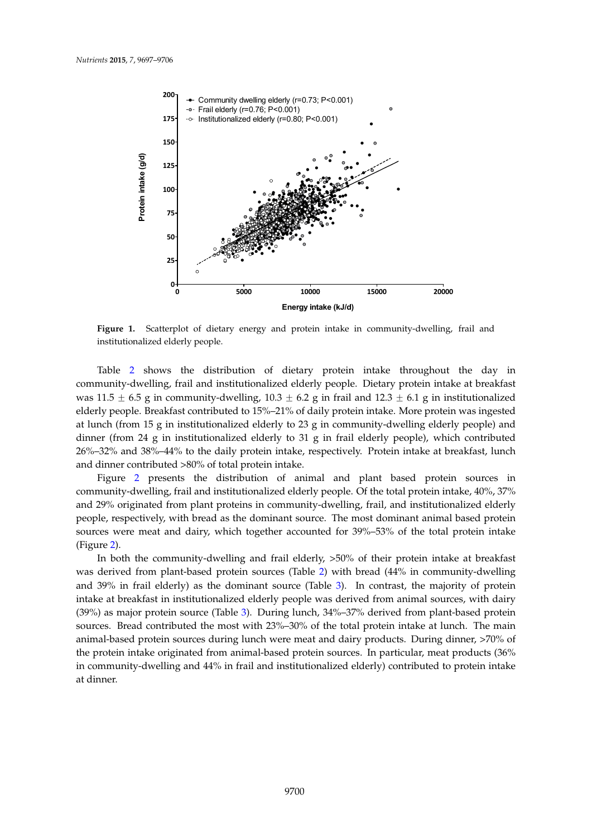<span id="page-4-0"></span>

**Figure 1.** Scatterplot of dietary energy and protein intake in community‐dwelling, frail and **Figure 1.** Scatterplot of dietary energy and protein intake in community-dwelling, frail and institutionalized elderly people. institutionalized elderly people.

Table [2](#page-5-0) shows the distribution of dietary protein intake throughout the day in demonstration of dietary protein intake diseagned. The day in was  $11.5 \pm 6.5$  g in community-dwelling,  $10.3 \pm 6.2$  g in frail and  $12.3 \pm 6.1$  g in institutionalized was tristing to general manner at lunch ( $\frac{1}{2}$  or  $\frac{1}{2}$  or  $\frac{1}{8}$  in the lunch (from  $\frac{1}{2}$  or  $\frac{1}{8}$  in the manner education intake. More protein was ingested elderly people. Beddhast communication 15% 21% of daily protein make. There protein was ingested<br>at lunch (from 15 g in institutionalized elderly to 23 g in community-dwelling elderly people) and  $\frac{1}{\sqrt{2}}$  g in the contribution of  $\frac{1}{\sqrt{2}}$  g in  $\frac{1}{\sqrt{2}}$  g in  $\frac{1}{\sqrt{2}}$  and 38%–44% and 38%–44% and 38%–44% and 38%–44% and 38%–44% and 38%–44% and 38%–44% and 38%–44% and 38%–44% and 38%–44% and 38%–44% an dinner (from 24 g in institutionalized elderly to 31 g in frail elderly people), which contributed  $\frac{80\%}{100}\times\frac{100\%}{100}\times\frac{1}{200}$  $\frac{2000 \text{ GHz}}{2000 \text{ GHz}}$  of total protein intake. 26%–32% and 38%–44% to the daily protein intake, respectively. Protein intake at breakfast, lunch

annel community of the distribution of animal and plant based protein sources in Figure [2](#page-6-0) presents the distribution of animal and plant based protein sources in community-dwelling, frail and institutionalized elderly people. Of the total protein intake, 40%, 37%  $\sim$  1.00% of the from plant and institutionalized elderly people  $\sim$  5 and institutionalized elderly people. and 29% originated from plant proteins in community-dwelling, frail, and institutionalized elderly<br> people, respectively, which toda as the dominant source. The most don't sufficient them stated protein sources were meat and dairy, which together accounted for 39%–53% of the total protein intake<br>(Fig.  $\alpha$ ) people, respectively, with bread as the dominant source. The most dominant animal based protein (Figure [2\)](#page-6-0).

In both the community-dwelling and frail elderly, >50% of their protein intake at breakfast<br> m both the community awening and han elderly, 500% of their protein intake at breakfast, was derived from plant-based protein sources (Table [2\)](#page-5-0) with bread (44% in community-dwelling and 39% in frail elderly) as the dominant sources (Table [3\)](#page-5-1). In contrast, the majority of protein and 39% in frail elderly) as the dominant source (Table 3). In contrast, the majority of protein intake at breakfast in institutionalized elderly people was derived from animal sources, with dairy intake at breakfast in institutionalized elderly people was derived from animal sources, with dairy contributed the most with animal protein interaction interaction interaction in the main animal sources, which during<br>(39%) as major protein source (Table [3\)](#page-5-1). During lunch, 34%–37% derived from plant-based protein sources. Bread contributed the most with  $23\% - 30\%$  of the total protein intake at lunch. The main from animal-based protein sources during lunch were meat and dairy products. During dinner, >70% of community and 44% in fractionalized elderly and increased the during the protein intervalsed to protein interv the protein intake originated from animal-based protein sources. In particular, meat products (36%) in community-dwelling and 44% in frail and institutionalized elderly) contributed to protein intake at dinner.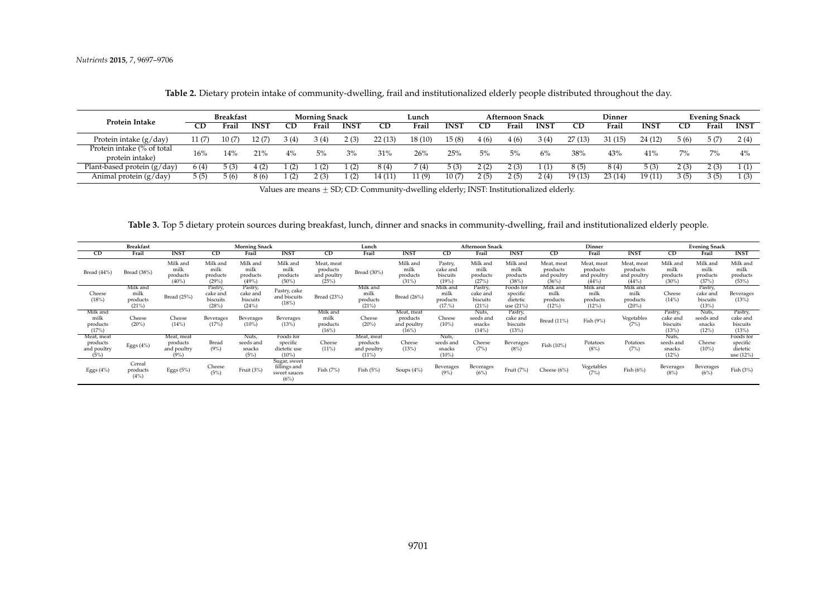|                                               | <b>Breakfast</b> |             |             | <b>Morning Snack</b> |       |             | Lunch  |         |             | <b>Afternoon Snack</b> |       |             | Dinner    |        |             | <b>Evening Snack</b> |       |             |
|-----------------------------------------------|------------------|-------------|-------------|----------------------|-------|-------------|--------|---------|-------------|------------------------|-------|-------------|-----------|--------|-------------|----------------------|-------|-------------|
| Protein Intake                                | <b>CD</b>        | Frail       | <b>INST</b> | CD                   | Frail | <b>INST</b> | CD     | Frail   | <b>INST</b> | CD                     | Frail | <b>INST</b> | <b>CD</b> | Frai   | <b>INST</b> | <b>CD</b>            | Frail | <b>INST</b> |
| Protein intake $(g/day)$                      | 11 (7)           | 10 -        | 12 (7)      | 3 (4)                | 3(4)  | 2(3)        | 22(13) | 18 (10) | 15 (8)      | 4(6)                   | 4 (6) | 3(4)        | 27 (13    | 31 (15 | 24 (12)     | 5(6)                 | 5(7)  | 2(4)        |
| Protein intake (% of total<br>protein intake) | 16%              | 14%         | <b>21%</b>  | $4\%$                | 5%    | 3%          | 31%    | 26%     | 25%         | 5%                     | 5%    | 6%          | 38%       | 43%    | 41%         | 7%                   | $7\%$ | 4%          |
| Plant-based protein $(g/day)$                 | 6(4)             | $\cdot$ (3, | 4(2)        | (2)                  |       | (2)         | 8 (4)  | 7(4)    | 5(3)        | 2(2)                   | 2(3)  |             |           | 8 (4   | 5(3)        | 2(3)                 | 2(3)  | 1(1)        |
| Animal protein (g/day)                        | 5(5)             | 5(6)        | 8(6)        | (2)                  | 2(3)  | (2)         | 14 (11 | 1(9)    | 10 (7)      | 2(5)                   | 2(5)  | 2(4)        | 19(13)    | 23(14) | 19 (11)     | 3(5)                 | 3(5)  | 1(3)        |

**Table 2.** Dietary protein intake of community-dwelling, frail and institutionalized elderly people distributed throughout the day.

Values are means  $\pm$  SD; CD: Community-dwelling elderly; INST: Institutionalized elderly.

**Table 3.** Top 5 dietary protein sources during breakfast, lunch, dinner and snacks in community-dwelling, frail and institutionalized elderly people.

<span id="page-5-1"></span><span id="page-5-0"></span>

|                                               | <b>Morning Snack</b><br><b>Breakfast</b> |                                              |                                          |                                         | Lunch                                                |                                                |                                                   | <b>Afternoon Snack</b>                        |                                          |                                          |                                                | Dinner                                         |                                               | <b>Evening Snack</b>                            |                                          |                                         |                                                |
|-----------------------------------------------|------------------------------------------|----------------------------------------------|------------------------------------------|-----------------------------------------|------------------------------------------------------|------------------------------------------------|---------------------------------------------------|-----------------------------------------------|------------------------------------------|------------------------------------------|------------------------------------------------|------------------------------------------------|-----------------------------------------------|-------------------------------------------------|------------------------------------------|-----------------------------------------|------------------------------------------------|
| <sub>CD</sub>                                 | Frail                                    | <b>INST</b>                                  | <b>CD</b>                                | Frail                                   | <b>INST</b>                                          | CD                                             | Frail                                             | <b>INST</b>                                   | CD                                       | Frail                                    | <b>INST</b>                                    | CD                                             | Frail                                         | <b>INST</b>                                     | CD                                       | Frail                                   | <b>INST</b>                                    |
| Bread (44%)                                   | Bread (38%)                              | Milk and<br>milk<br>products<br>(40%         | Milk and<br>milk<br>products<br>(29%     | Milk and<br>milk<br>products<br>(49%    | Milk and<br>milk<br>products<br>(50%                 | Meat, meat<br>products<br>and poultry<br>(25%) | Bread (30%)                                       | Milk and<br>milk<br>products<br>(31%          | Pastry,<br>cake and<br>biscuits<br>(19%  | Milk and<br>milk<br>products<br>(27%)    | Milk and<br>milk<br>products<br>(38%)          | Meat, meat<br>products<br>and poultry<br>(36%) | Meat, meat<br>products<br>and poultry<br>(44% | Meat, meat<br>products<br>and poultry<br>(44% ) | Milk and<br>milk<br>products<br>$(30\%)$ | Milk and<br>milk<br>products<br>(37%    | Milk and<br>milk<br>products<br>(53%)          |
| Cheese<br>(18%)                               | Milk and<br>milk<br>products<br>(21%)    | Bread (25%)                                  | Pastry,<br>cake and<br>biscuits<br>(28%) | Pastry,<br>cake and<br>biscuits<br>(24% | Pastry, cake<br>and biscuits<br>(18%)                | Bread (23%)                                    | Milk and<br>milk<br>products<br>(21%)             | Bread (26%)                                   | Milk and<br>milk<br>products<br>(17.%)   | Pastry,<br>cake and<br>biscuits<br>(21%) | Foods for<br>specific<br>dietetic<br>use (21%) | Milk and<br>milk<br>products<br>(12%)          | Milk and<br>milk<br>products<br>(12%)         | Milk and<br>milk<br>products<br>$(20\%)$        | Cheese<br>(14%)                          | Pastry,<br>cake and<br>biscuits<br>(13% | Beverages<br>(13%)                             |
| Milk and<br>milk<br>products<br>(17%)         | Cheese<br>$(20\%)$                       | Cheese<br>(14%)                              | Beverages<br>(17%)                       | Beverages<br>(10%                       | Beverages<br>(13%)                                   | Milk and<br>milk<br>products<br>(16%)          | Cheese<br>$(20\%)$                                | Meat, meat<br>products<br>and poultry<br>(16% | Cheese<br>$(10\%)$                       | Nuts,<br>seeds and<br>snacks<br>(14%)    | Pastry,<br>cake and<br>biscuits<br>(13%)       | Bread (11%)                                    | Fish $(9\%)$                                  | Vegetables<br>(7%)                              | Pastry,<br>cake and<br>biscuits<br>(13%  | Nuts,<br>seeds and<br>snacks<br>(12%)   | Pastry,<br>cake and<br>biscuits<br>(13%)       |
| Meat, meat<br>products<br>and poultry<br>(5%) | Eggs $(4%)$                              | Meat, meat<br>products<br>and poultry<br>(9% | Bread<br>(9% )                           | Nuts,<br>seeds and<br>snacks<br>(5%)    | Foods for<br>specific<br>dietetic use<br>$(10\%)$    | Cheese<br>$(11\%)$                             | Meat, meat<br>products<br>and poultry<br>$(11\%)$ | Cheese<br>(13%)                               | Nuts,<br>seeds and<br>snacks<br>$(10\%)$ | Cheese<br>(7%)                           | Beverages<br>(8%)                              | Fish (10%)                                     | Potatoes<br>(8%)                              | Potatoes<br>(7%)                                | Nuts,<br>seeds and<br>snacks<br>(12%)    | Cheese<br>$(10\%)$                      | Foods for<br>specific<br>dietetic<br>use (12%) |
| Eggs $(4%)$                                   | Cereal<br>products<br>(4%)               | Eggs $(5%)$                                  | Cheese<br>(5%)                           | Fruit (3%)                              | Sugar, sweet<br>fillings and<br>sweet sauces<br>(6%) | Fish $(7%)$                                    | Fish $(5%)$                                       | Soups $(4\%)$                                 | Beverages<br>(9%                         | Beverages<br>(6%)                        | Fruit (7%)                                     | Cheese (6%)                                    | Vegetables<br>(7%)                            | Fish $(6\%)$                                    | Beverages<br>(8%                         | Beverages<br>(6%)                       | Fish $(3%)$                                    |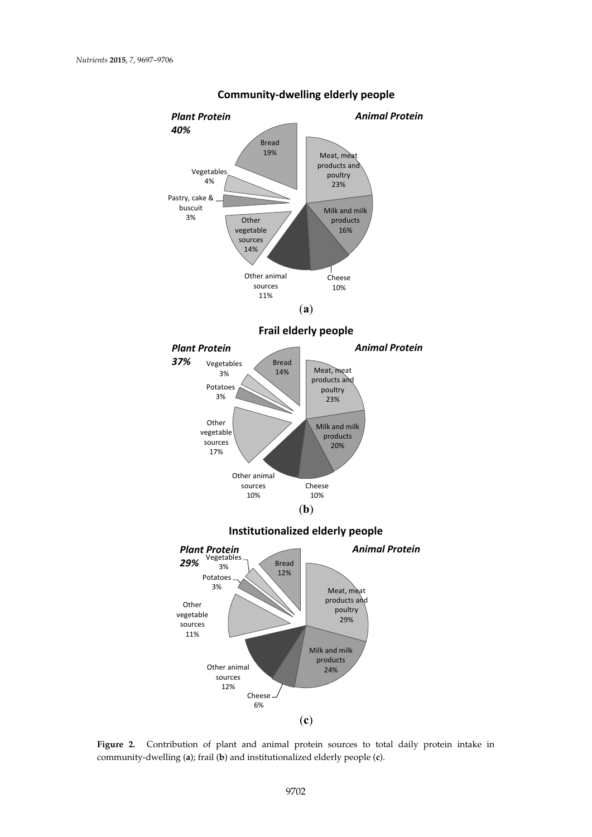<span id="page-6-0"></span>

**Community‐dwelling elderly people**

Figure 2. Contribution of plant and animal protein sources to total daily protein intake in dwelling (**a**); frail (**b**) and institutionalized elderly people (**c**). community-dwelling (**a**); frail (**b**) and institutionalized elderly people (**c**).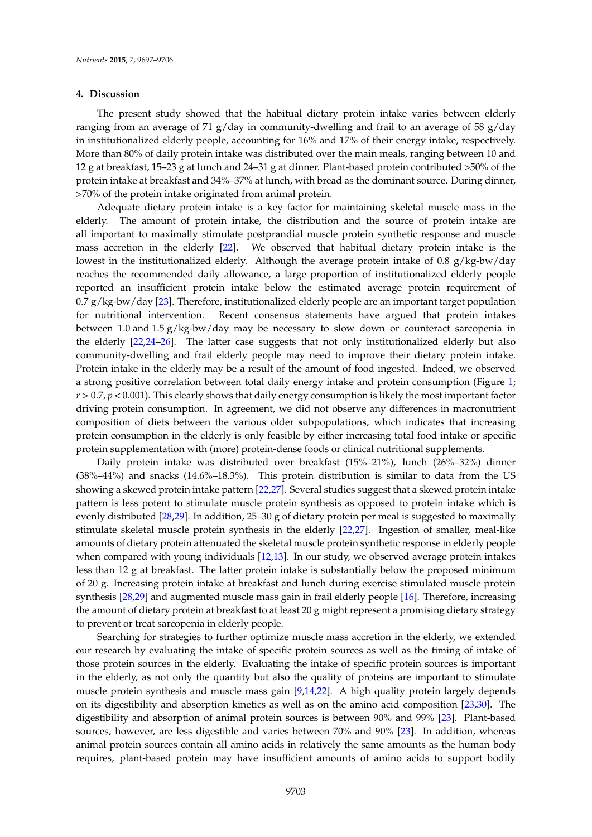#### **4. Discussion**

The present study showed that the habitual dietary protein intake varies between elderly ranging from an average of 71 g/day in community-dwelling and frail to an average of 58 g/day in institutionalized elderly people, accounting for 16% and 17% of their energy intake, respectively. More than 80% of daily protein intake was distributed over the main meals, ranging between 10 and 12 g at breakfast, 15–23 g at lunch and 24–31 g at dinner. Plant-based protein contributed >50% of the protein intake at breakfast and 34%–37% at lunch, with bread as the dominant source. During dinner, >70% of the protein intake originated from animal protein.

Adequate dietary protein intake is a key factor for maintaining skeletal muscle mass in the elderly. The amount of protein intake, the distribution and the source of protein intake are all important to maximally stimulate postprandial muscle protein synthetic response and muscle mass accretion in the elderly [\[22\]](#page-9-13). We observed that habitual dietary protein intake is the lowest in the institutionalized elderly. Although the average protein intake of 0.8  $g/kg$ -bw/day reaches the recommended daily allowance, a large proportion of institutionalized elderly people reported an insufficient protein intake below the estimated average protein requirement of 0.7 g/kg-bw/day [\[23\]](#page-10-0). Therefore, institutionalized elderly people are an important target population for nutritional intervention. Recent consensus statements have argued that protein intakes between 1.0 and 1.5  $g/kg$ -bw/day may be necessary to slow down or counteract sarcopenia in the elderly [\[22,](#page-9-13)[24–](#page-10-1)[26\]](#page-10-2). The latter case suggests that not only institutionalized elderly but also community-dwelling and frail elderly people may need to improve their dietary protein intake. Protein intake in the elderly may be a result of the amount of food ingested. Indeed, we observed a strong positive correlation between total daily energy intake and protein consumption (Figure [1;](#page-4-0) *r* > 0.7, *p* < 0.001). This clearly shows that daily energy consumption is likely the most important factor driving protein consumption. In agreement, we did not observe any differences in macronutrient composition of diets between the various older subpopulations, which indicates that increasing protein consumption in the elderly is only feasible by either increasing total food intake or specific protein supplementation with (more) protein-dense foods or clinical nutritional supplements.

Daily protein intake was distributed over breakfast (15%–21%), lunch (26%–32%) dinner (38%–44%) and snacks (14.6%–18.3%). This protein distribution is similar to data from the US showing a skewed protein intake pattern [\[22](#page-9-13)[,27\]](#page-10-3). Several studies suggest that a skewed protein intake pattern is less potent to stimulate muscle protein synthesis as opposed to protein intake which is evenly distributed [\[28,](#page-10-4)[29\]](#page-10-5). In addition, 25–30 g of dietary protein per meal is suggested to maximally stimulate skeletal muscle protein synthesis in the elderly [\[22,](#page-9-13)[27\]](#page-10-3). Ingestion of smaller, meal-like amounts of dietary protein attenuated the skeletal muscle protein synthetic response in elderly people when compared with young individuals [\[12,](#page-9-4)[13\]](#page-9-5). In our study, we observed average protein intakes less than 12 g at breakfast. The latter protein intake is substantially below the proposed minimum of 20 g. Increasing protein intake at breakfast and lunch during exercise stimulated muscle protein synthesis [\[28,](#page-10-4)[29\]](#page-10-5) and augmented muscle mass gain in frail elderly people [\[16\]](#page-9-8). Therefore, increasing the amount of dietary protein at breakfast to at least 20 g might represent a promising dietary strategy to prevent or treat sarcopenia in elderly people.

Searching for strategies to further optimize muscle mass accretion in the elderly, we extended our research by evaluating the intake of specific protein sources as well as the timing of intake of those protein sources in the elderly. Evaluating the intake of specific protein sources is important in the elderly, as not only the quantity but also the quality of proteins are important to stimulate muscle protein synthesis and muscle mass gain [\[9](#page-9-2)[,14](#page-9-6)[,22\]](#page-9-13). A high quality protein largely depends on its digestibility and absorption kinetics as well as on the amino acid composition [\[23,](#page-10-0)[30\]](#page-10-6). The digestibility and absorption of animal protein sources is between 90% and 99% [\[23\]](#page-10-0). Plant-based sources, however, are less digestible and varies between 70% and 90% [\[23\]](#page-10-0). In addition, whereas animal protein sources contain all amino acids in relatively the same amounts as the human body requires, plant-based protein may have insufficient amounts of amino acids to support bodily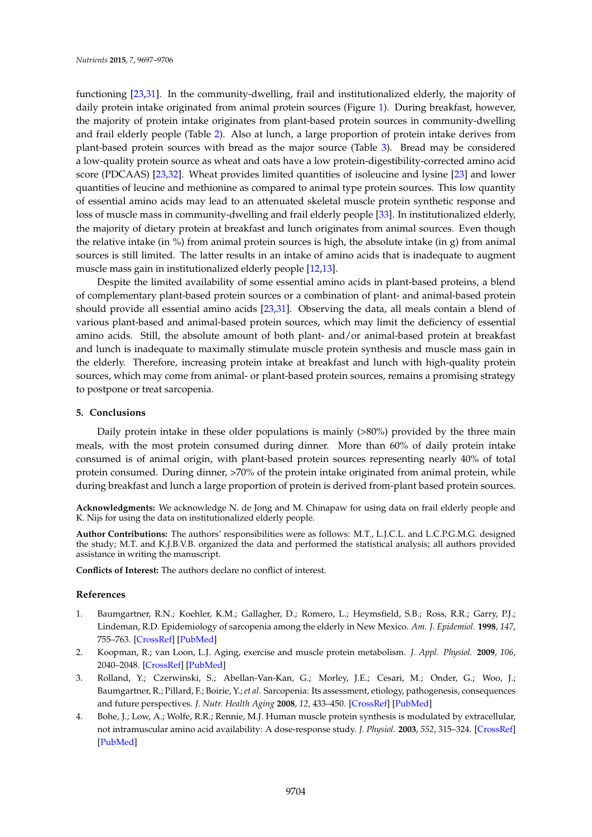functioning [\[23](#page-10-0)[,31\]](#page-10-7). In the community-dwelling, frail and institutionalized elderly, the majority of daily protein intake originated from animal protein sources (Figure [1\)](#page-4-0). During breakfast, however, the majority of protein intake originates from plant-based protein sources in community-dwelling and frail elderly people (Table [2\)](#page-5-0). Also at lunch, a large proportion of protein intake derives from plant-based protein sources with bread as the major source (Table [3\)](#page-5-1). Bread may be considered a low-quality protein source as wheat and oats have a low protein-digestibility-corrected amino acid score (PDCAAS) [\[23](#page-10-0)[,32\]](#page-10-8). Wheat provides limited quantities of isoleucine and lysine [\[23\]](#page-10-0) and lower quantities of leucine and methionine as compared to animal type protein sources. This low quantity of essential amino acids may lead to an attenuated skeletal muscle protein synthetic response and loss of muscle mass in community-dwelling and frail elderly people [\[33\]](#page-10-9). In institutionalized elderly, the majority of dietary protein at breakfast and lunch originates from animal sources. Even though the relative intake (in  $\%$ ) from animal protein sources is high, the absolute intake (in g) from animal sources is still limited. The latter results in an intake of amino acids that is inadequate to augment muscle mass gain in institutionalized elderly people [\[12,](#page-9-4)[13\]](#page-9-5).

Despite the limited availability of some essential amino acids in plant-based proteins, a blend of complementary plant-based protein sources or a combination of plant- and animal-based protein should provide all essential amino acids [\[23,](#page-10-0)[31\]](#page-10-7). Observing the data, all meals contain a blend of various plant-based and animal-based protein sources, which may limit the deficiency of essential amino acids. Still, the absolute amount of both plant- and/or animal-based protein at breakfast and lunch is inadequate to maximally stimulate muscle protein synthesis and muscle mass gain in the elderly. Therefore, increasing protein intake at breakfast and lunch with high-quality protein sources, which may come from animal- or plant-based protein sources, remains a promising strategy to postpone or treat sarcopenia.

#### **5. Conclusions**

Daily protein intake in these older populations is mainly (>80%) provided by the three main meals, with the most protein consumed during dinner. More than 60% of daily protein intake consumed is of animal origin, with plant-based protein sources representing nearly 40% of total protein consumed. During dinner, >70% of the protein intake originated from animal protein, while during breakfast and lunch a large proportion of protein is derived from-plant based protein sources.

**Acknowledgments:** We acknowledge N. de Jong and M. Chinapaw for using data on frail elderly people and K. Nijs for using the data on institutionalized elderly people.

**Author Contributions:** The authors' responsibilities were as follows: M.T., L.J.C.L. and L.C.P.G.M.G. designed the study; M.T. and K.J.B.V.B. organized the data and performed the statistical analysis; all authors provided assistance in writing the manuscript.

**Conflicts of Interest:** The authors declare no conflict of interest.

#### **References**

- <span id="page-8-0"></span>1. Baumgartner, R.N.; Koehler, K.M.; Gallagher, D.; Romero, L.; Heymsfield, S.B.; Ross, R.R.; Garry, P.J.; Lindeman, R.D. Epidemiology of sarcopenia among the elderly in New Mexico. *Am. J. Epidemiol.* **1998**, *147*, 755–763. [\[CrossRef\]](http://dx.doi.org/10.1093/oxfordjournals.aje.a009520) [\[PubMed\]](http://www.ncbi.nlm.nih.gov/pubmed/9554417)
- <span id="page-8-1"></span>2. Koopman, R.; van Loon, L.J. Aging, exercise and muscle protein metabolism. *J. Appl. Physiol.* **2009**, *106*, 2040–2048. [\[CrossRef\]](http://dx.doi.org/10.1152/japplphysiol.91551.2008) [\[PubMed\]](http://www.ncbi.nlm.nih.gov/pubmed/19131471)
- <span id="page-8-2"></span>3. Rolland, Y.; Czerwinski, S.; Abellan-Van-Kan, G.; Morley, J.E.; Cesari, M.; Onder, G.; Woo, J.; Baumgartner, R.; Pillard, F.; Boirie, Y.; *et al*. Sarcopenia: Its assessment, etiology, pathogenesis, consequences and future perspectives. *J. Nutr. Health Aging* **2008**, *12*, 433–450. [\[CrossRef\]](http://dx.doi.org/10.1007/BF02982704) [\[PubMed\]](http://www.ncbi.nlm.nih.gov/pubmed/18615225)
- <span id="page-8-3"></span>4. Bohe, J.; Low, A.; Wolfe, R.R.; Rennie, M.J. Human muscle protein synthesis is modulated by extracellular, not intramuscular amino acid availability: A dose-response study. *J. Physiol.* **2003**, *552*, 315–324. [\[CrossRef\]](http://dx.doi.org/10.1113/jphysiol.2003.050674) [\[PubMed\]](http://www.ncbi.nlm.nih.gov/pubmed/12909668)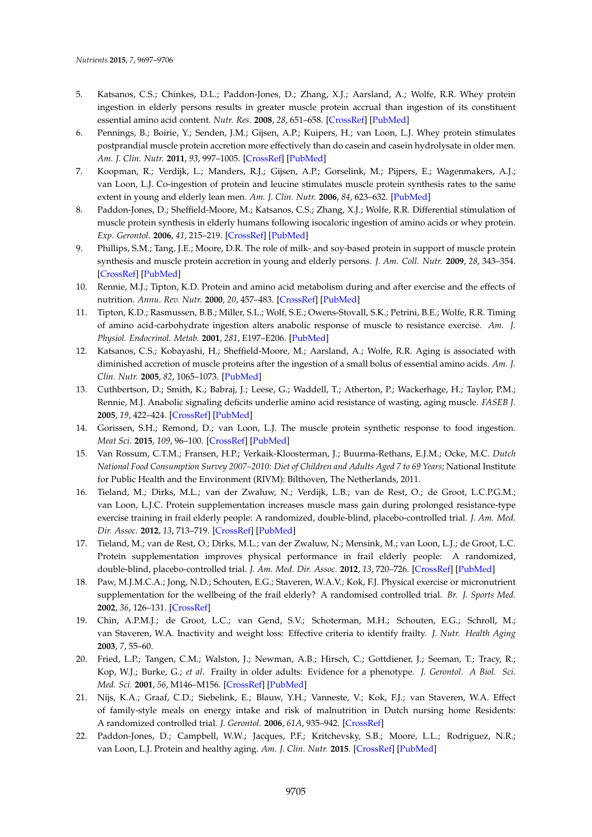- 5. Katsanos, C.S.; Chinkes, D.L.; Paddon-Jones, D.; Zhang, X.J.; Aarsland, A.; Wolfe, R.R. Whey protein ingestion in elderly persons results in greater muscle protein accrual than ingestion of its constituent essential amino acid content. *Nutr. Res.* **2008**, *28*, 651–658. [\[CrossRef\]](http://dx.doi.org/10.1016/j.nutres.2008.06.007) [\[PubMed\]](http://www.ncbi.nlm.nih.gov/pubmed/19083472)
- 6. Pennings, B.; Boirie, Y.; Senden, J.M.; Gijsen, A.P.; Kuipers, H.; van Loon, L.J. Whey protein stimulates postprandial muscle protein accretion more effectively than do casein and casein hydrolysate in older men. *Am. J. Clin. Nutr.* **2011**, *93*, 997–1005. [\[CrossRef\]](http://dx.doi.org/10.3945/ajcn.110.008102) [\[PubMed\]](http://www.ncbi.nlm.nih.gov/pubmed/21367943)
- <span id="page-9-1"></span>7. Koopman, R.; Verdijk, L.; Manders, R.J.; Gijsen, A.P.; Gorselink, M.; Pijpers, E.; Wagenmakers, A.J.; van Loon, L.J. Co-ingestion of protein and leucine stimulates muscle protein synthesis rates to the same extent in young and elderly lean men. *Am. J. Clin. Nutr.* **2006**, *84*, 623–632. [\[PubMed\]](http://www.ncbi.nlm.nih.gov/pubmed/16960178)
- <span id="page-9-0"></span>8. Paddon-Jones, D.; Sheffield-Moore, M.; Katsanos, C.S.; Zhang, X.J.; Wolfe, R.R. Differential stimulation of muscle protein synthesis in elderly humans following isocaloric ingestion of amino acids or whey protein. *Exp. Gerontol.* **2006**, *41*, 215–219. [\[CrossRef\]](http://dx.doi.org/10.1016/j.exger.2005.10.006) [\[PubMed\]](http://www.ncbi.nlm.nih.gov/pubmed/16310330)
- <span id="page-9-2"></span>9. Phillips, S.M.; Tang, J.E.; Moore, D.R. The role of milk- and soy-based protein in support of muscle protein synthesis and muscle protein accretion in young and elderly persons. *J. Am. Coll. Nutr.* **2009**, *28*, 343–354. [\[CrossRef\]](http://dx.doi.org/10.1080/07315724.2009.10718096) [\[PubMed\]](http://www.ncbi.nlm.nih.gov/pubmed/20368372)
- 10. Rennie, M.J.; Tipton, K.D. Protein and amino acid metabolism during and after exercise and the effects of nutrition. *Annu. Rev. Nutr.* **2000**, *20*, 457–483. [\[CrossRef\]](http://dx.doi.org/10.1146/annurev.nutr.20.1.457) [\[PubMed\]](http://www.ncbi.nlm.nih.gov/pubmed/10940342)
- <span id="page-9-3"></span>11. Tipton, K.D.; Rasmussen, B.B.; Miller, S.L.; Wolf, S.E.; Owens-Stovall, S.K.; Petrini, B.E.; Wolfe, R.R. Timing of amino acid-carbohydrate ingestion alters anabolic response of muscle to resistance exercise. *Am. J. Physiol. Endocrinol. Metab.* **2001**, *281*, E197–E206. [\[PubMed\]](http://www.ncbi.nlm.nih.gov/pubmed/11440894)
- <span id="page-9-4"></span>12. Katsanos, C.S.; Kobayashi, H.; Sheffield-Moore, M.; Aarsland, A.; Wolfe, R.R. Aging is associated with diminished accretion of muscle proteins after the ingestion of a small bolus of essential amino acids. *Am. J. Clin. Nutr.* **2005**, *82*, 1065–1073. [\[PubMed\]](http://www.ncbi.nlm.nih.gov/pubmed/16280440)
- <span id="page-9-5"></span>13. Cuthbertson, D.; Smith, K.; Babraj, J.; Leese, G.; Waddell, T.; Atherton, P.; Wackerhage, H.; Taylor, P.M.; Rennie, M.J. Anabolic signaling deficits underlie amino acid resistance of wasting, aging muscle. *FASEB J.* **2005**, *19*, 422–424. [\[CrossRef\]](http://dx.doi.org/10.1096/fj.04-2640fje) [\[PubMed\]](http://www.ncbi.nlm.nih.gov/pubmed/15596483)
- <span id="page-9-6"></span>14. Gorissen, S.H.; Remond, D.; van Loon, L.J. The muscle protein synthetic response to food ingestion. *Meat Sci.* **2015**, *109*, 96–100. [\[CrossRef\]](http://dx.doi.org/10.1016/j.meatsci.2015.05.009) [\[PubMed\]](http://www.ncbi.nlm.nih.gov/pubmed/26021783)
- <span id="page-9-7"></span>15. Van Rossum, C.T.M.; Fransen, H.P.; Verkaik-Kloosterman, J.; Buurma-Rethans, E.J.M.; Ocke, M.C. *Dutch National Food Consumption Survey 2007–2010: Diet of Children and Adults Aged 7 to 69 Years*; National Institute for Public Health and the Environment (RIVM): Bilthoven, The Netherlands, 2011.
- <span id="page-9-8"></span>16. Tieland, M.; Dirks, M.L.; van der Zwaluw, N.; Verdijk, L.B.; van de Rest, O.; de Groot, L.C.P.G.M.; van Loon, L.J.C. Protein supplementation increases muscle mass gain during prolonged resistance-type exercise training in frail elderly people: A randomized, double-blind, placebo-controlled trial. *J. Am. Med. Dir. Assoc.* **2012**, *13*, 713–719. [\[CrossRef\]](http://dx.doi.org/10.1016/j.jamda.2012.05.020) [\[PubMed\]](http://www.ncbi.nlm.nih.gov/pubmed/22770932)
- 17. Tieland, M.; van de Rest, O.; Dirks, M.L.; van der Zwaluw, N.; Mensink, M.; van Loon, L.J.; de Groot, L.C. Protein supplementation improves physical performance in frail elderly people: A randomized, double-blind, placebo-controlled trial. *J. Am. Med. Dir. Assoc.* **2012**, *13*, 720–726. [\[CrossRef\]](http://dx.doi.org/10.1016/j.jamda.2012.07.005) [\[PubMed\]](http://www.ncbi.nlm.nih.gov/pubmed/22889730)
- <span id="page-9-9"></span>18. Paw, M.J.M.C.A.; Jong, N.D.; Schouten, E.G.; Staveren, W.A.V.; Kok, F.J. Physical exercise or micronutrient supplementation for the wellbeing of the frail elderly? A randomised controlled trial. *Br. J. Sports Med.* **2002**, *36*, 126–131. [\[CrossRef\]](http://dx.doi.org/10.1136/bjsm.36.2.126)
- <span id="page-9-10"></span>19. Chin, A.P.M.J.; de Groot, L.C.; van Gend, S.V.; Schoterman, M.H.; Schouten, E.G.; Schroll, M.; van Staveren, W.A. Inactivity and weight loss: Effective criteria to identify frailty. *J. Nutr. Health Aging* **2003**, *7*, 55–60.
- <span id="page-9-11"></span>20. Fried, L.P.; Tangen, C.M.; Walston, J.; Newman, A.B.; Hirsch, C.; Gottdiener, J.; Seeman, T.; Tracy, R.; Kop, W.J.; Burke, G.; *et al*. Frailty in older adults: Evidence for a phenotype. *J. Gerontol. A Biol. Sci. Med. Sci.* **2001**, *56*, M146–M156. [\[CrossRef\]](http://dx.doi.org/10.1093/gerona/56.3.M146) [\[PubMed\]](http://www.ncbi.nlm.nih.gov/pubmed/11253156)
- <span id="page-9-12"></span>21. Nijs, K.A.; Graaf, C.D.; Siebelink, E.; Blauw, Y.H.; Vanneste, V.; Kok, F.J.; van Staveren, W.A. Effect of family-style meals on energy intake and risk of malnutrition in Dutch nursing home Residents: A randomized controlled trial. *J. Gerontol.* **2006**, *61A*, 935–942. [\[CrossRef\]](http://dx.doi.org/10.1093/gerona/61.9.935)
- <span id="page-9-13"></span>22. Paddon-Jones, D.; Campbell, W.W.; Jacques, P.F.; Kritchevsky, S.B.; Moore, L.L.; Rodriguez, N.R.; van Loon, L.J. Protein and healthy aging. *Am. J. Clin. Nutr.* **2015**. [\[CrossRef\]](http://dx.doi.org/10.3945/ajcn.114.084061) [\[PubMed\]](http://www.ncbi.nlm.nih.gov/pubmed/25926511)